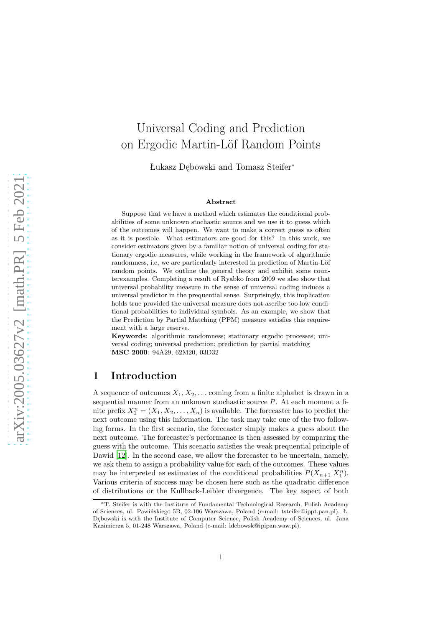# Universal Coding and Prediction on Ergodic Martin-Löf Random Points

Łukasz Dębowski and Tomasz Steifer<sup>∗</sup>

#### **Abstract**

Suppose that we have a method which estimates the conditional probabilities of some unknown stochastic source and we use it to guess which of the outcomes will happen. We want to make a correct guess as often as it is possible. What estimators are good for this? In this work, we consider estimators given by a familiar notion of universal coding for stationary ergodic measures, while working in the framework of algorithmic randomness, i.e, we are particularly interested in prediction of Martin-Löf random points. We outline the general theory and exhibit some counterexamples. Completing a result of Ryabko from 2009 we also show that universal probability measure in the sense of universal coding induces a universal predictor in the prequential sense. Surprisingly, this implication holds true provided the universal measure does not ascribe too low conditional probabilities to individual symbols. As an example, we show that the Prediction by Partial Matching (PPM) measure satisfies this requirement with a large reserve.

**Keywords**: algorithmic randomness; stationary ergodic processes; universal coding; universal prediction; prediction by partial matching **MSC 2000**: 94A29, 62M20, 03D32

### **1 Introduction**

A sequence of outcomes  $X_1, X_2, \ldots$  coming from a finite alphabet is drawn in a sequential manner from an unknown stochastic source  $P$ . At each moment a finite prefix  $X_1^n = (X_1, X_2, \ldots, X_n)$  is available. The forecaster has to predict the next outcome using this information. The task may take one of the two following forms. In the first scenario, the forecaster simply makes a guess about the next outcome. The forecaster's performance is then assessed by comparing the guess with the outcome. This scenario satisfies the weak prequential principle of Dawid [\[12](#page-21-0)]. In the second case, we allow the forecaster to be uncertain, namely, we ask them to assign a probability value for each of the outcomes. These values may be interpreted as estimates of the conditional probabilities  $P(X_{n+1}|X_1^n)$ . Various criteria of success may be chosen here such as the quadratic difference of distributions or the Kullback-Leibler divergence. The key aspect of both

<sup>∗</sup>T. Steifer is with the Institute of Fundamental Technological Research, Polish Academy of Sciences, ul. Pawińskiego 5B, 02-106 Warszawa, Poland (e-mail: tsteifer@ippt.pan.pl). Ł. Dębowski is with the Institute of Computer Science, Polish Academy of Sciences, ul. Jana Kazimierza 5, 01-248 Warszawa, Poland (e-mail: ldebowsk@ipipan.waw.pl).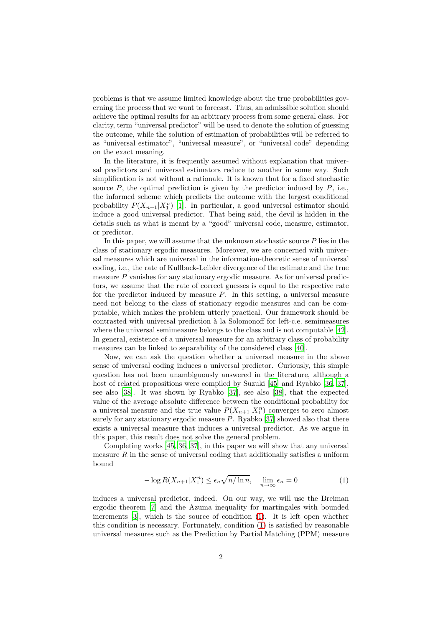problems is that we assume limited knowledge about the true probabilities governing the process that we want to forecast. Thus, an admissible solution should achieve the optimal results for an arbitrary process from some general class. For clarity, term "universal predictor" will be used to denote the solution of guessing the outcome, while the solution of estimation of probabilities will be referred to as "universal estimator", "universal measure", or "universal code" depending on the exact meaning.

In the literature, it is frequently assumed without explanation that universal predictors and universal estimators reduce to another in some way. Such simplification is not without a rationale. It is known that for a fixed stochastic source  $P$ , the optimal prediction is given by the predictor induced by  $P$ , i.e., the informed scheme which predicts the outcome with the largest conditional probability  $P(X_{n+1}|X_1^n)$  [\[1\]](#page-20-0). In particular, a good universal estimator should induce a good universal predictor. That being said, the devil is hidden in the details such as what is meant by a "good" universal code, measure, estimator, or predictor.

In this paper, we will assume that the unknown stochastic source  $P$  lies in the class of stationary ergodic measures. Moreover, we are concerned with universal measures which are universal in the information-theoretic sense of universal coding, i.e., the rate of Kullback-Leibler divergence of the estimate and the true measure P vanishes for any stationary ergodic measure. As for universal predictors, we assume that the rate of correct guesses is equal to the respective rate for the predictor induced by measure  $P$ . In this setting, a universal measure need not belong to the class of stationary ergodic measures and can be computable, which makes the problem utterly practical. Our framework should be contrasted with universal prediction à la Solomonoff for left-c.e. semimeasures where the universal semimeasure belongs to the class and is not computable [\[42\]](#page-23-0). In general, existence of a universal measure for an arbitrary class of probability measures can be linked to separability of the considered class [\[40\]](#page-23-1).

Now, we can ask the question whether a universal measure in the above sense of universal coding induces a universal predictor. Curiously, this simple question has not been unambiguously answered in the literature, although a host of related propositions were compiled by Suzuki [\[45](#page-23-2)] and Ryabko [\[36,](#page-22-0) [37\]](#page-22-1), see also [\[38\]](#page-22-2). It was shown by Ryabko [\[37\]](#page-22-1), see also [\[38](#page-22-2)], that the expected value of the average absolute difference between the conditional probability for a universal measure and the true value  $P(X_{n+1}|X_1^n)$  converges to zero almost surely for any stationary ergodic measure  $P$ . Ryabko [\[37](#page-22-1)] showed also that there exists a universal measure that induces a universal predictor. As we argue in this paper, this result does not solve the general problem.

Completing works [\[45](#page-23-2), [36,](#page-22-0) [37\]](#page-22-1), in this paper we will show that any universal measure  $R$  in the sense of universal coding that additionally satisfies a uniform bound

<span id="page-1-0"></span>
$$
-\log R(X_{n+1}|X_1^n) \le \epsilon_n \sqrt{n/\ln n}, \quad \lim_{n \to \infty} \epsilon_n = 0 \tag{1}
$$

induces a universal predictor, indeed. On our way, we will use the Breiman ergodic theorem [\[7](#page-21-1)] and the Azuma inequality for martingales with bounded increments [\[3\]](#page-20-1), which is the source of condition [\(1\)](#page-1-0). It is left open whether this condition is necessary. Fortunately, condition [\(1\)](#page-1-0) is satisfied by reasonable universal measures such as the Prediction by Partial Matching (PPM) measure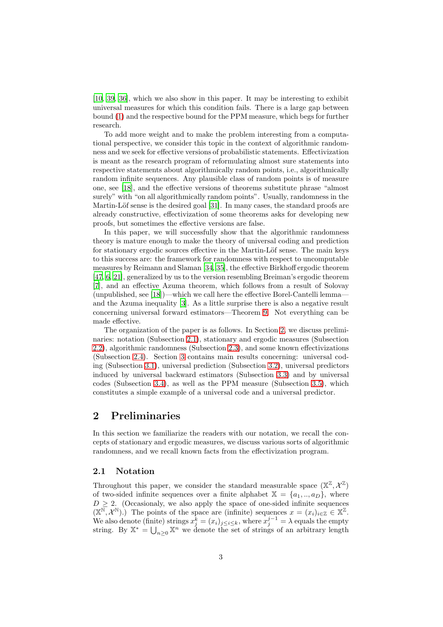[\[10,](#page-21-2) [39,](#page-22-3) [36\]](#page-22-0), which we also show in this paper. It may be interesting to exhibit universal measures for which this condition fails. There is a large gap between bound [\(1\)](#page-1-0) and the respective bound for the PPM measure, which begs for further research.

To add more weight and to make the problem interesting from a computational perspective, we consider this topic in the context of algorithmic randomness and we seek for effective versions of probabilistic statements. Effectivization is meant as the research program of reformulating almost sure statements into respective statements about algorithmically random points, i.e., algorithmically random infinite sequences. Any plausible class of random points is of measure one, see [\[18\]](#page-21-3), and the effective versions of theorems substitute phrase "almost surely" with "on all algorithmically random points". Usually, randomness in the Martin-Löf sense is the desired goal [\[31\]](#page-22-4). In many cases, the standard proofs are already constructive, effectivization of some theorems asks for developing new proofs, but sometimes the effective versions are false.

In this paper, we will successfully show that the algorithmic randomness theory is mature enough to make the theory of universal coding and prediction for stationary ergodic sources effective in the Martin-Löf sense. The main keys to this success are: the framework for randomness with respect to uncomputable measures by Reimann and Slaman [\[34,](#page-22-5) [35\]](#page-22-6), the effective Birkhoff ergodic theorem [\[47,](#page-23-3) [6,](#page-20-2) [21\]](#page-21-4), generalized by us to the version resembling Breiman's ergodic theorem [\[7\]](#page-21-1), and an effective Azuma theorem, which follows from a result of Solovay (unpublished, see [\[18](#page-21-3)])—which we call here the effective Borel-Cantelli lemma and the Azuma inequality [\[3\]](#page-20-1). As a little surprise there is also a negative result concerning universal forward estimators—Theorem [9.](#page-14-0) Not everything can be made effective.

The organization of the paper is as follows. In Section [2,](#page-2-0) we discuss preliminaries: notation (Subsection [2.1\)](#page-2-1), stationary and ergodic measures (Subsection [2.2\)](#page-3-0), algorithmic randomness (Subsection [2.3\)](#page-3-1), and some known effectivizations (Subsection [2.4\)](#page-5-0). Section [3](#page-7-0) contains main results concerning: universal coding (Subsection [3.1\)](#page-7-1), universal prediction (Subsection [3.2\)](#page-9-0), universal predictors induced by universal backward estimators (Subsection [3.3\)](#page-11-0) and by universal codes (Subsection [3.4\)](#page-15-0), as well as the PPM measure (Subsection [3.5\)](#page-18-0), which constitutes a simple example of a universal code and a universal predictor.

## <span id="page-2-0"></span>**2 Preliminaries**

In this section we familiarize the readers with our notation, we recall the concepts of stationary and ergodic measures, we discuss various sorts of algorithmic randomness, and we recall known facts from the effectivization program.

#### <span id="page-2-1"></span>**2.1 Notation**

Throughout this paper, we consider the standard measurable space  $(\mathbb{X}^{\mathbb{Z}}, \mathcal{X}^{\mathbb{Z}})$ of two-sided infinite sequences over a finite alphabet  $X = \{a_1, \ldots, a_D\}$ , where  $D > 2$ . (Occasionaly, we also apply the space of one-sided infinite sequences  $(X^{\overline{\mathbb{N}}}, \mathcal{X}^{\mathbb{N}})$ .) The points of the space are (infinite) sequences  $x = (x_i)_{i \in \mathbb{Z}} \in \mathbb{X}^{\mathbb{Z}}$ . We also denote (finite) strings  $x_j^{\overline{k}} = (x_i)_{j \leq i \leq k}$ , where  $x_j^{j-1} = \lambda$  equals the empty string. By  $\mathbb{X}^* = \bigcup_{n \geq 0} \mathbb{X}^n$  we denote the set of strings of an arbitrary length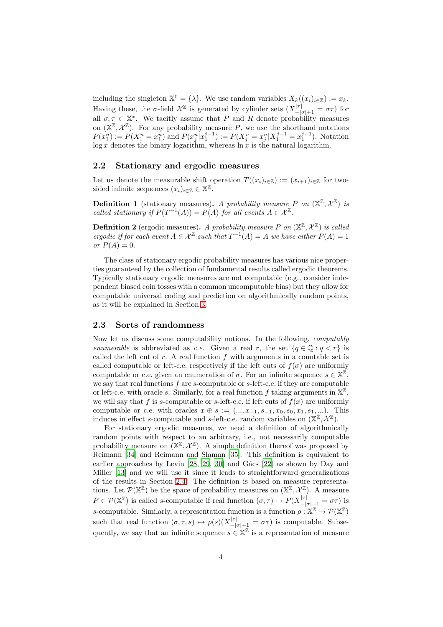including the singleton  $\mathbb{X}^0 = {\lambda}$ . We use random variables  $X_k((x_i)_{i \in \mathbb{Z}}) := x_k$ . Having these, the  $\sigma$ -field  $\mathcal{X}^{\mathbb{Z}}$  is generated by cylinder sets  $(X_{-|\sigma|+1}^{|\tau|} = \sigma \tau)$  for all  $\sigma, \tau \in \mathbb{X}^*$ . We tacitly assume that P and R denote probability measures on  $(\mathbb{X}^{\mathbb{Z}}, \mathcal{X}^{\mathbb{Z}})$ . For any probability measure P, we use the shorthand notations  $P(x_1^n) := P(X_1^n = x_1^n)$  and  $P(x_j^n | x_1^{j-1}) := P(X_j^n = x_j^n | X_1^{j-1} = x_1^{j-1})$ . Notation  $\log x$  denotes the binary logarithm, whereas  $\ln x$  is the natural logarithm.

#### <span id="page-3-0"></span>**2.2 Stationary and ergodic measures**

Let us denote the measurable shift operation  $T((x_i)_{i\in\mathbb{Z}}) := (x_{i+1})_{i\in\mathbb{Z}}$  for twosided infinite sequences  $(x_i)_{i\in\mathbb{Z}} \in \mathbb{X}^{\mathbb{Z}}$ .

**Definition 1** (stationary measures). A probability measure P on  $(\mathbb{X}^{\mathbb{Z}}, \mathcal{X}^{\mathbb{Z}})$  is *called stationary if*  $P(T^{-1}(A)) = P(A)$  *for all events*  $A \in \mathcal{X}^{\mathbb{Z}}$ .

**Definition 2** (ergodic measures). A probability measure P on  $(\mathbb{X}^{\mathbb{Z}}, \mathcal{X}^{\mathbb{Z}})$  is called *ergodic if for each event*  $A \in \mathcal{X}^{\mathbb{Z}}$  *such that*  $T^{-1}(A) = A$  *we have either*  $P(A) = 1$ *or*  $P(A) = 0$ *.* 

The class of stationary ergodic probability measures has various nice properties guaranteed by the collection of fundamental results called ergodic theorems. Typically stationary ergodic measures are not computable (e.g., consider independent biased coin tosses with a common uncomputable bias) but they allow for computable universal coding and prediction on algorithmically random points, as it will be explained in Section [3.](#page-7-0)

### <span id="page-3-1"></span>**2.3 Sorts of randomness**

Now let us discuss some computability notions. In the following, *computably enumerable* is abbreviated as *c.e.* Given a real r, the set  $\{q \in \mathbb{Q} : q < r\}$  is called the left cut of  $r$ . A real function  $f$  with arguments in a countable set is called computable or left-c.e. respectively if the left cuts of  $f(\sigma)$  are uniformly computable or c.e. given an enumeration of  $\sigma$ . For an infinite sequence  $s \in \mathbb{X}^{\mathbb{Z}}$ , we say that real functions  $f$  are  $s$ -computable or  $s$ -left-c.e. if they are computable or left-c.e. with oracle s. Similarly, for a real function f taking arguments in  $\mathbb{X}^{\mathbb{Z}}$ , we will say that f is s-computable or s-left-c.e. if left cuts of  $f(x)$  are uniformly computable or c.e. with oracles  $x \oplus s := (..., x_{-1}, s_{-1}, x_0, s_0, x_1, s_1, ...).$  This induces in effect s-computable and s-left-c.e. random variables on  $(\mathbb{X}^{\mathbb{Z}}, \mathcal{X}^{\mathbb{Z}})$ .

For stationary ergodic measures, we need a definition of algorithmically random points with respect to an arbitrary, i.e., not necessarily computable probability measure on  $(X^{\mathbb{Z}}, \mathcal{X}^{\mathbb{Z}})$ . A simple definition thereof was proposed by Reimann [\[34\]](#page-22-5) and Reimann and Slaman [\[35\]](#page-22-6). This definition is equivalent to earlier approaches by Levin  $[28, 29, 30]$  $[28, 29, 30]$  $[28, 29, 30]$  and Gács  $[22]$  as shown by Day and Miller [\[13\]](#page-21-6) and we will use it since it leads to straightforward generalizations of the results in Section [2.4.](#page-5-0) The definition is based on measure representations. Let  $\mathcal{P}(\mathbb{X}^{\mathbb{Z}})$  be the space of probability measures on  $(\mathbb{X}^{\mathbb{Z}}, \mathcal{X}^{\mathbb{Z}})$ . A measure  $P \in \mathcal{P}(\mathbb{X}^{\mathbb{Z}})$  is called s-computable if real function  $(\sigma, \tau) \mapsto P(X_{-|\sigma|+1}^{|\tau|} = \sigma\tau)$  is s-computable. Similarly, a representation function is a function  $\rho : \mathbb{X}^{\mathbb{Z}} \to \mathcal{P}(\mathbb{X}^{\mathbb{Z}})$ such that real function  $(\sigma, \tau, s) \mapsto \rho(s)(X_{-|\sigma|+1}^{|\tau|} = \sigma\tau)$  is computable. Subsequently, we say that an infinite sequence  $s \in \mathbb{X}^{\mathbb{Z}}$  is a representation of measure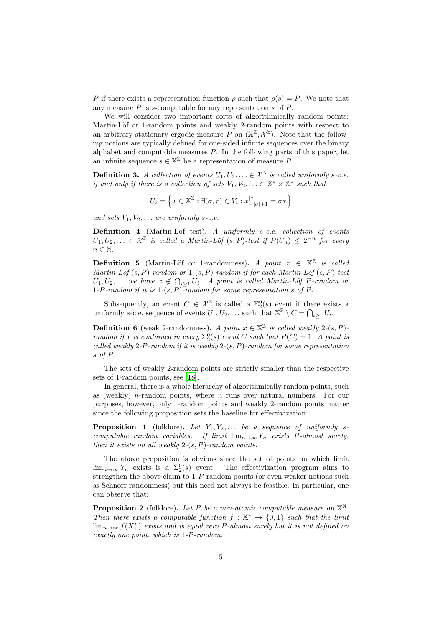P if there exists a representation function  $\rho$  such that  $\rho(s) = P$ . We note that any measure  $P$  is s-computable for any representation  $s$  of  $P$ .

We will consider two important sorts of algorithmically random points: Martin-Löf or 1-random points and weakly 2-random points with respect to an arbitrary stationary ergodic measure P on  $(\mathbb{X}^{\mathbb{Z}}, \mathcal{X}^{\mathbb{Z}})$ . Note that the following notions are typically defined for one-sided infinite sequences over the binary alphabet and computable measures  $P$ . In the following parts of this paper, let an infinite sequence  $s \in \mathbb{X}^{\mathbb{Z}}$  be a representation of measure P.

**Definition 3.** *A collection of events*  $U_1, U_2, \ldots \in \mathcal{X}^{\mathbb{Z}}$  *is called uniformly s-c.e. if and only if there is a collection of sets*  $V_1, V_2, \ldots \subset \mathbb{X}^* \times \mathbb{X}^*$  such that

$$
U_i = \left\{ x \in \mathbb{X}^{\mathbb{Z}} : \exists (\sigma, \tau) \in V_i : x_{-|\sigma|+1}^{|\tau|} = \sigma \tau \right\}
$$

*and sets*  $V_1, V_2, \ldots$  *are uniformly s-c.e.* 

**Definition 4** (Martin-Löf test). *A uniformly s-c.e. collection of events*  $U_1, U_2, \ldots \in \mathcal{X}^{\mathbb{Z}}$  is called a Martin-Löf  $(s, P)$ -test if  $P(U_n) \leq 2^{-n}$  for every  $n \in \mathbb{N}$ .

**Definition 5** (Martin-Löf or 1-randomness). *A point*  $x \in \mathbb{X}^{\mathbb{Z}}$  *is called Martin-L¨of* (s, P)*-random or* 1*-*(s, P)*-random if for each Martin-L¨of* (s, P)*-test*  $U_1, U_2, \ldots$  we have  $x \notin \bigcap_{i \geq 1} U_i$ . A point is called Martin-Löf P-random or 1*-*P*-random if it is* 1*-*(s, P)*-random for some representation* s *of* P*.*

Subsequently, an event  $C \in \mathcal{X}^{\mathbb{Z}}$  is called a  $\Sigma_2^0(s)$  event if there exists a uniformly s-c.e. sequence of events  $U_1, U_2, \ldots$  such that  $\mathbb{X}^{\mathbb{Z}} \setminus C = \bigcap_{i \geq 1} U_i$ .

**Definition 6** (weak 2-randomness). *A point*  $x \in \mathbb{X}^{\mathbb{Z}}$  *is called weakly* 2*-*(*s*, *P*)*random if* x *is contained in every*  $\Sigma_2^0(s)$  *event* C *such that*  $P(C) = 1$ *.* A point is *called weakly* 2*-*P*-random if it is weakly* 2*-*(s, P)*-random for some representation* s *of* P*.*

The sets of weakly 2-random points are strictly smaller than the respective sets of 1-random points, see [\[18](#page-21-3)].

In general, there is a whole hierarchy of algorithmically random points, such as (weakly) *n*-random points, where *n* runs over natural numbers. For our purposes, however, only 1-random points and weakly 2-random points matter since the following proposition sets the baseline for effectivization:

<span id="page-4-0"></span>**Proposition 1** (folklore). Let  $Y_1, Y_2, \ldots$  be a sequence of uniformly s*computable random variables.* If limit  $\lim_{n\to\infty} Y_n$  *exists* P-almost surely, *then it exists on all weakly* 2*-*(s, P)*-random points.*

The above proposition is obvious since the set of points on which limit  $\lim_{n\to\infty} Y_n$  exists is a  $\Sigma_2^0(s)$  event. The effectivization program aims to strengthen the above claim to 1-P-random points (or even weaker notions such as Schnorr randomness) but this need not always be feasible. In particular, one can observe that:

<span id="page-4-1"></span>**Proposition 2** (folklore). Let P be a non-atomic computable measure on  $\mathbb{X}^{\mathbb{N}}$ . *Then there exists a computable function*  $f : \mathbb{X}^* \to \{0,1\}$  *such that the limit* lim<sup>n</sup>→∞ f(X<sup>n</sup> 1 ) *exists and is equal zero* P*-almost surely but it is not defined on exactly one point, which is* 1*-*P*-random.*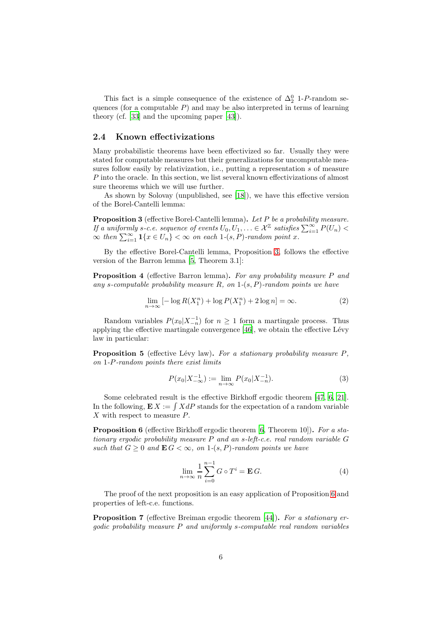This fact is a simple consequence of the existence of  $\Delta_2^0$  1-P-random sequences (for a computable  $P$ ) and may be also interpreted in terms of learning theory (cf. [\[33](#page-22-10)] and the upcoming paper [\[43](#page-23-4)]).

#### <span id="page-5-0"></span>**2.4 Known effectivizations**

Many probabilistic theorems have been effectivized so far. Usually they were stated for computable measures but their generalizations for uncomputable measures follow easily by relativization, i.e., putting a representation s of measure P into the oracle. In this section, we list several known effectivizations of almost sure theorems which we will use further.

As shown by Solovay (unpublished, see [\[18\]](#page-21-3)), we have this effective version of the Borel-Cantelli lemma:

<span id="page-5-1"></span>**Proposition 3** (effective Borel-Cantelli lemma)**.** *Let* P *be a probability measure. If a uniformly s-c.e. sequence of events*  $U_0, U_1, \ldots \in \mathcal{X}^{\mathbb{Z}}$  satisfies  $\sum_{i=1}^{\infty} P(U_n)$  $\infty$  then  $\sum_{i=1}^{\infty} 1\{x \in U_n\} < \infty$  on each  $1-(s, P)$ *-random point x.* 

By the effective Borel-Cantelli lemma, Proposition [3,](#page-5-1) follows the effective version of the Barron lemma [\[5,](#page-20-3) Theorem 3.1]:

<span id="page-5-5"></span>**Proposition 4** (effective Barron lemma)**.** *For any probability measure* P *and any* s*-computable probability measure* R*, on* 1*-*(s, P)*-random points we have*

$$
\lim_{n \to \infty} \left[ -\log R(X_1^n) + \log P(X_1^n) + 2 \log n \right] = \infty. \tag{2}
$$

Random variables  $P(x_0|X_{-n}^{-1})$  for  $n \geq 1$  form a martingale process. Thus applying the effective martingale convergence  $[46]$ , we obtain the effective Lévy law in particular:

<span id="page-5-4"></span>**Proposition 5** (effective Lévy law). For a stationary probability measure P, *on* 1*-*P*-random points there exist limits*

$$
P(x_0|X_{-\infty}^{-1}) := \lim_{n \to \infty} P(x_0|X_{-n}^{-1}).
$$
\n(3)

Some celebrated result is the effective Birkhoff ergodic theorem [\[47](#page-23-3), [6,](#page-20-2) [21\]](#page-21-4). In the following,  $\mathbf{E} X := \int X dP$  stands for the expectation of a random variable X with respect to measure P.

<span id="page-5-2"></span>**Proposition 6** (effective Birkhoff ergodic theorem [\[6](#page-20-2), Theorem 10])**.** *For a stationary ergodic probability measure* P *and an* s*-left-c.e. real random variable* G *such that*  $G \geq 0$  *and*  $\mathbf{E} G < \infty$ *, on* 1- $(s, P)$ -random points we have

$$
\lim_{n \to \infty} \frac{1}{n} \sum_{i=0}^{n-1} G \circ T^i = \mathbf{E} G.
$$
 (4)

The proof of the next proposition is an easy application of Proposition [6](#page-5-2) and properties of left-c.e. functions.

<span id="page-5-3"></span>**Proposition 7** (effective Breiman ergodic theorem [\[44](#page-23-6)])**.** *For a stationary ergodic probability measure* P *and uniformly* s*-computable real random variables*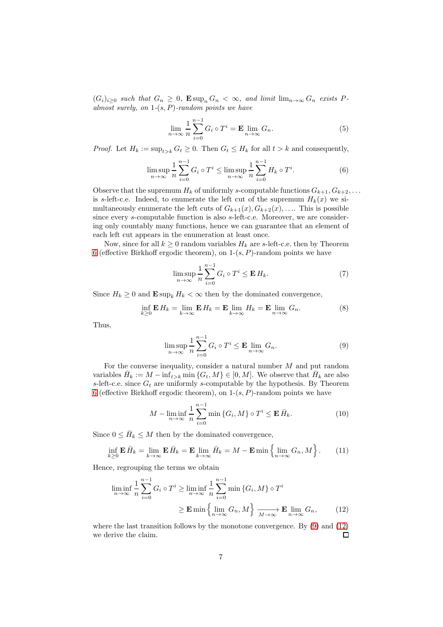$(G_i)_{i\geq 0}$  *such that*  $G_n \geq 0$ ,  $\mathbf{E} \sup_n G_n < \infty$ , and limit  $\lim_{n\to\infty} G_n$  exists P*almost surely, on* 1*-*(s, P)*-random points we have*

$$
\lim_{n \to \infty} \frac{1}{n} \sum_{i=0}^{n-1} G_i \circ T^i = \mathbf{E} \lim_{n \to \infty} G_n.
$$
 (5)

*Proof.* Let  $H_k := \sup_{t>k} G_t \geq 0$ . Then  $G_t \leq H_k$  for all  $t > k$  and consequently,

$$
\limsup_{n \to \infty} \frac{1}{n} \sum_{i=0}^{n-1} G_i \circ T^i \le \limsup_{n \to \infty} \frac{1}{n} \sum_{i=0}^{n-1} H_k \circ T^i.
$$
 (6)

Observe that the supremum  $H_k$  of uniformly s-computable functions  $G_{k+1}, G_{k+2}, \ldots$ is s-left-c.e. Indeed, to enumerate the left cut of the supremum  $H_k(x)$  we simultaneously enumerate the left cuts of  $G_{k+1}(x), G_{k+2}(x), \ldots$ . This is possible since every s-computable function is also s-left-c.e. Moreover, we are considering only countably many functions, hence we can guarantee that an element of each left cut appears in the enumeration at least once.

Now, since for all  $k \geq 0$  random variables  $H_k$  are s-left-c.e. then by Theorem [6](#page-5-2) (effective Birkhoff ergodic theorem), on  $1-(s, P)$ -random points we have

$$
\limsup_{n \to \infty} \frac{1}{n} \sum_{i=0}^{n-1} G_i \circ T^i \le \mathbf{E} H_k. \tag{7}
$$

Since  $H_k \geq 0$  and  $\mathbf{E} \sup_k H_k < \infty$  then by the dominated convergence,

$$
\inf_{k\geq 0} \mathbf{E} H_k = \lim_{k\to\infty} \mathbf{E} H_k = \mathbf{E} \lim_{k\to\infty} H_k = \mathbf{E} \lim_{n\to\infty} G_n.
$$
 (8)

Thus,

<span id="page-6-0"></span>
$$
\limsup_{n \to \infty} \frac{1}{n} \sum_{i=0}^{n-1} G_i \circ T^i \le \mathbf{E} \lim_{n \to \infty} G_n.
$$
 (9)

For the converse inequality, consider a natural number M and put random variables  $\bar{H}_k := M - \inf_{t > k} \min \{G_t, M\} \in [0, M]$ . We observe that  $\bar{H}_k$  are also s-left-c.e. since  $G_t$  are uniformly s-computable by the hypothesis. By Theorem [6](#page-5-2) (effective Birkhoff ergodic theorem), on  $1-(s, P)$ -random points we have

<span id="page-6-1"></span>
$$
M - \liminf_{n \to \infty} \frac{1}{n} \sum_{i=0}^{n-1} \min \{ G_i, M \} \circ T^i \le \mathbf{E} \, \bar{H}_k. \tag{10}
$$

Since  $0 \leq \bar{H}_k \leq M$  then by the dominated convergence,

$$
\inf_{k\geq 0} \mathbf{E} \,\bar{H}_k = \lim_{k\to\infty} \mathbf{E} \,\bar{H}_k = \mathbf{E} \lim_{k\to\infty} \bar{H}_k = M - \mathbf{E} \min \left\{ \lim_{n\to\infty} G_n, M \right\}.
$$
 (11)

Hence, regrouping the terms we obtain

$$
\liminf_{n \to \infty} \frac{1}{n} \sum_{i=0}^{n-1} G_i \circ T^i \ge \liminf_{n \to \infty} \frac{1}{n} \sum_{i=0}^{n-1} \min \{ G_i, M \} \circ T^i
$$

$$
\ge \mathbf{E} \min \left\{ \lim_{n \to \infty} G_n, M \right\} \xrightarrow[M \to \infty]{} \mathbf{E} \lim_{n \to \infty} G_n, \tag{12}
$$

where the last transition follows by the monotone convergence. By [\(9\)](#page-6-0) and [\(12\)](#page-6-1) we derive the claim.  $\Box$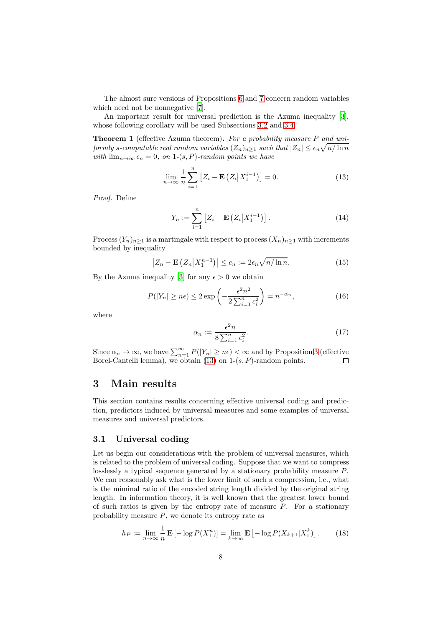The almost sure versions of Propositions [6](#page-5-2) and [7](#page-5-3) concern random variables which need not be nonnegative [\[7\]](#page-21-1).

An important result for universal prediction is the Azuma inequality [\[3\]](#page-20-1), whose following corollary will be used Subsections [3.2](#page-9-0) and [3.4.](#page-15-0)

<span id="page-7-3"></span>**Theorem 1** (effective Azuma theorem)**.** *For a probability measure* P *and uni* $formly \ s\text{-}computable \ real \ random \ variables \ (Z_n)_{n\geq 1} \ such \ that \ |Z_n|\leq \epsilon_n \sqrt{n/\ln n}$ *with*  $\lim_{n\to\infty} \epsilon_n = 0$ , on 1-(s, P)-random points we have

$$
\lim_{n \to \infty} \frac{1}{n} \sum_{i=1}^{n} \left[ Z_i - \mathbf{E} \left( Z_i | X_1^{i-1} \right) \right] = 0. \tag{13}
$$

*Proof.* Define

<span id="page-7-2"></span>
$$
Y_n := \sum_{i=1}^n \left[ Z_i - \mathbf{E} \left( Z_i \middle| X_1^{i-1} \right) \right]. \tag{14}
$$

Process  $(Y_n)_{n\geq 1}$  is a martingale with respect to process  $(X_n)_{n\geq 1}$  with increments bounded by inequality

$$
\left|Z_n - \mathbf{E}\left(Z_n \middle| X_1^{n-1}\right)\right| \le c_n := 2\epsilon_n \sqrt{n/\ln n}.\tag{15}
$$

By the Azuma inequality [\[3\]](#page-20-1) for any  $\epsilon > 0$  we obtain

$$
P(|Y_n| \ge n\epsilon) \le 2 \exp\left(-\frac{\epsilon^2 n^2}{2\sum_{i=1}^n c_i^2}\right) = n^{-\alpha_n},\tag{16}
$$

where

$$
\alpha_n := \frac{\epsilon^2 n}{8 \sum_{i=1}^n \epsilon_i^2}.
$$
\n(17)

Since  $\alpha_n \to \infty$ , we have  $\sum_{n=1}^{\infty} P(|Y_n| \geq n\epsilon) < \infty$  and by Proposition [3](#page-5-1) (effective Borel-Cantelli lemma), we obtain [\(13\)](#page-7-2) on  $1-(s, P)$ -random points.

### <span id="page-7-0"></span>**3 Main results**

This section contains results concerning effective universal coding and prediction, predictors induced by universal measures and some examples of universal measures and universal predictors.

#### <span id="page-7-1"></span>**3.1 Universal coding**

Let us begin our considerations with the problem of universal measures, which is related to the problem of universal coding. Suppose that we want to compress losslessly a typical sequence generated by a stationary probability measure P. We can reasonably ask what is the lower limit of such a compression, i.e., what is the miminal ratio of the encoded string length divided by the original string length. In information theory, it is well known that the greatest lower bound of such ratios is given by the entropy rate of measure  $P$ . For a stationary probability measure  $P$ , we denote its entropy rate as

$$
h_P := \lim_{n \to \infty} \frac{1}{n} \mathbf{E} \left[ -\log P(X_1^n) \right] = \lim_{k \to \infty} \mathbf{E} \left[ -\log P(X_{k+1} | X_1^k) \right]. \tag{18}
$$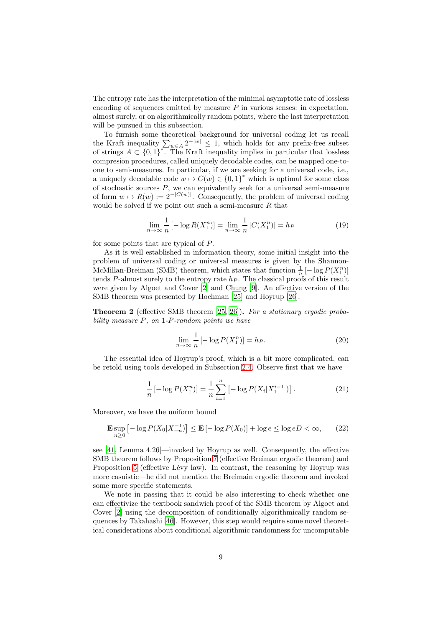The entropy rate has the interpretation of the minimal asymptotic rate of lossless encoding of sequences emitted by measure  $P$  in various senses: in expectation, almost surely, or on algorithmically random points, where the last interpretation will be pursued in this subsection.

To furnish some theoretical background for universal coding let us recall the Kraft inequality  $\sum_{w\in A} 2^{-|w|} \leq 1$ , which holds for any prefix-free subset of strings  $A \subset \{0,1\}^*$ . The Kraft inequality implies in particular that lossless compresion procedures, called uniquely decodable codes, can be mapped one-toone to semi-measures. In particular, if we are seeking for a universal code, i.e., a uniquely decodable code  $w \mapsto C(w) \in \{0, 1\}^*$  which is optimal for some class of stochastic sources  $P$ , we can equivalently seek for a universal semi-measure of form  $w \mapsto R(w) := 2^{-|C(w)|}$ . Consequently, the problem of universal coding would be solved if we point out such a semi-measure  $R$  that

$$
\lim_{n \to \infty} \frac{1}{n} \left[ -\log R(X_1^n) \right] = \lim_{n \to \infty} \frac{1}{n} |C(X_1^n)| = h_P \tag{19}
$$

for some points that are typical of P.

As it is well established in information theory, some initial insight into the problem of universal coding or universal measures is given by the Shannon-McMillan-Breiman (SMB) theorem, which states that function  $\frac{1}{n}$  [ $-\log P(X_1^n)$ ] tends P-almost surely to the entropy rate  $h<sub>P</sub>$ . The classical proofs of this result were given by Algoet and Cover [\[2\]](#page-20-4) and Chung [\[9\]](#page-21-7). An effective version of the SMB theorem was presented by Hochman [\[25\]](#page-22-11) and Hoyrup [\[26\]](#page-22-12).

**Theorem 2** (effective SMB theorem [\[25,](#page-22-11) [26\]](#page-22-12))**.** *For a stationary ergodic probability measure* P*, on* 1*-*P*-random points we have*

$$
\lim_{n \to \infty} \frac{1}{n} \left[ -\log P(X_1^n) \right] = h_P. \tag{20}
$$

The essential idea of Hoyrup's proof, which is a bit more complicated, can be retold using tools developed in Subsection [2.4.](#page-5-0) Observe first that we have

$$
\frac{1}{n}\left[-\log P(X_1^n)\right] = \frac{1}{n}\sum_{i=1}^n \left[-\log P(X_i|X_1^{i-1})\right].\tag{21}
$$

Moreover, we have the uniform bound

$$
\mathbf{E} \sup_{n\geq 0} \left[ -\log P(X_0 | X_{-n}^{-1}) \right] \leq \mathbf{E} \left[ -\log P(X_0) \right] + \log e \leq \log e D < \infty,\qquad(22)
$$

see [\[41,](#page-23-7) Lemma 4.26]—invoked by Hoyrup as well. Consequently, the effective SMB theorem follows by Proposition [7](#page-5-3) (effective Breiman ergodic theorem) and Proposition [5](#page-5-4) (effective Lévy law). In contrast, the reasoning by Hoyrup was more casuistic—he did not mention the Breimain ergodic theorem and invoked some more specific statements.

We note in passing that it could be also interesting to check whether one can effectivize the textbook sandwich proof of the SMB theorem by Algoet and Cover [\[2\]](#page-20-4) using the decomposition of conditionally algorithmically random sequences by Takahashi [\[46](#page-23-5)]. However, this step would require some novel theoretical considerations about conditional algorithmic randomness for uncomputable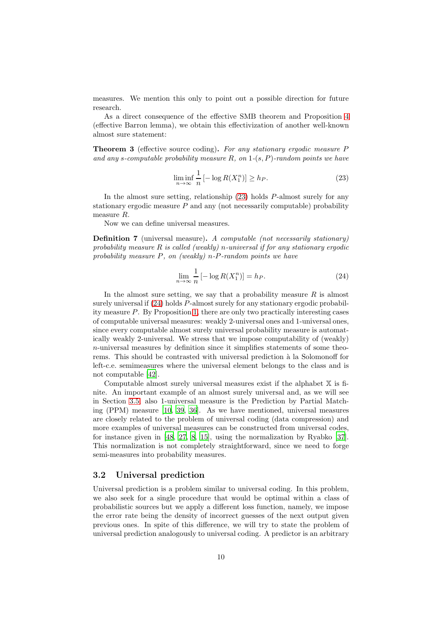measures. We mention this only to point out a possible direction for future research.

As a direct consequence of the effective SMB theorem and Proposition [4](#page-5-5) (effective Barron lemma), we obtain this effectivization of another well-known almost sure statement:

**Theorem 3** (effective source coding)**.** *For any stationary ergodic measure* P *and any* s*-computable probability measure* R*, on* 1*-*(s, P)*-random points we have*

<span id="page-9-1"></span>
$$
\liminf_{n \to \infty} \frac{1}{n} \left[ -\log R(X_1^n) \right] \ge h_P. \tag{23}
$$

In the almost sure setting, relationship [\(23\)](#page-9-1) holds P-almost surely for any stationary ergodic measure  $P$  and any (not necessarily computable) probability measure R.

Now we can define universal measures.

<span id="page-9-3"></span>**Definition 7** (universal measure)**.** *A computable (not necessarily stationary) probability measure* R *is called (weakly)* n*-universal if for any stationary ergodic probability measure* P*, on (weakly)* n*-*P*-random points we have*

<span id="page-9-2"></span>
$$
\lim_{n \to \infty} \frac{1}{n} \left[ -\log R(X_1^n) \right] = h_P. \tag{24}
$$

In the almost sure setting, we say that a probability measure  $R$  is almost surely universalif [\(24\)](#page-9-2) holds P-almost surely for any stationary ergodic probability measure P. By Proposition [1,](#page-4-0) there are only two practically interesting cases of computable universal measures: weakly 2-universal ones and 1-universal ones, since every computable almost surely universal probability measure is automatically weakly 2-universal. We stress that we impose computability of (weakly) n-universal measures by definition since it simplifies statements of some theorems. This should be contrasted with universal prediction à la Solomonoff for left-c.e. semimeasures where the universal element belongs to the class and is not computable [\[42\]](#page-23-0).

Computable almost surely universal measures exist if the alphabet X is finite. An important example of an almost surely universal and, as we will see in Section [3.5,](#page-18-0) also 1-universal measure is the Prediction by Partial Matching (PPM) measure [\[10](#page-21-2), [39](#page-22-3), [36](#page-22-0)]. As we have mentioned, universal measures are closely related to the problem of universal coding (data compression) and more examples of universal measures can be constructed from universal codes, for instance given in [\[48](#page-23-8), [27](#page-22-13), [8](#page-21-8), [15](#page-21-9)], using the normalization by Ryabko [\[37\]](#page-22-1). This normalization is not completely straightforward, since we need to forge semi-measures into probability measures.

#### <span id="page-9-0"></span>**3.2 Universal prediction**

Universal prediction is a problem similar to universal coding. In this problem, we also seek for a single procedure that would be optimal within a class of probabilistic sources but we apply a different loss function, namely, we impose the error rate being the density of incorrect guesses of the next output given previous ones. In spite of this difference, we will try to state the problem of universal prediction analogously to universal coding. A predictor is an arbitrary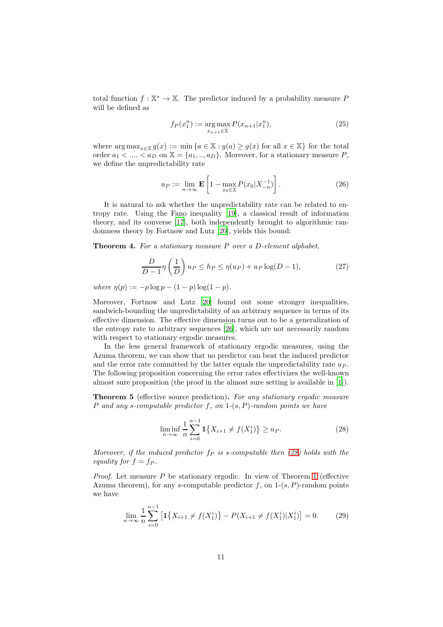total function  $f: \mathbb{X}^* \to \mathbb{X}$ . The predictor induced by a probability measure P will be defined as

$$
f_P(x_1^n) := \underset{x_{n+1} \in \mathbb{X}}{\arg \max} P(x_{n+1}|x_1^n), \tag{25}
$$

where  $\arg \max_{x \in \mathbb{X}} g(x) := \min \{a \in \mathbb{X} : g(a) \ge g(x) \text{ for all } x \in \mathbb{X}\}\)$  for the total order  $a_1 < \dots < a_D$  on  $\mathbb{X} = \{a_1, \dots, a_D\}$ . Moreover, for a stationary measure P, we define the unpredictability rate

$$
u_P := \lim_{n \to \infty} \mathbf{E} \left[ 1 - \max_{x_0 \in \mathbb{X}} P(x_0 | X_{-n}^{-1}) \right]. \tag{26}
$$

It is natural to ask whether the unpredictability rate can be related to entropy rate. Using the Fano inequality [\[19\]](#page-21-10), a classical result of information theory, and its converse [\[17\]](#page-21-11), both independently brought to algorithmic randomness theory by Fortnow and Lutz [\[20\]](#page-21-12), yields this bound:

**Theorem 4.** *For a stationary measure* P *over a* D*-element alphabet,*

$$
\frac{D}{D-1}\eta\left(\frac{1}{D}\right)u_P \le h_P \le \eta(u_P) + u_P \log(D-1),\tag{27}
$$

*where*  $\eta(p) := -p \log p - (1 - p) \log(1 - p)$ *.* 

Moreover, Fortnow and Lutz [\[20](#page-21-12)] found out some stronger inequalities, sandwich-bounding the unpredictability of an arbitrary sequence in terms of its effective dimension. The effective dimension turns out to be a generalization of the entropy rate to arbitrary sequences [\[26\]](#page-22-12), which are not necessarily random with respect to stationary ergodic measures.

In the less general framework of stationary ergodic measures, using the Azuma theorem, we can show that no predictor can beat the induced predictor and the error rate committed by the latter equals the unpredictability rate  $u_P$ . The following proposition concerning the error rates effectivizes the well-known almost sure proposition (the proof in the almost sure setting is available in [\[1](#page-20-0)]).

**Theorem 5** (effective source prediction)**.** *For any stationary ergodic measure* P *and any* s*-computable predictor* f*, on* 1*-*(s, P)*-random points we have*

<span id="page-10-1"></span><span id="page-10-0"></span>
$$
\liminf_{n \to \infty} \frac{1}{n} \sum_{i=0}^{n-1} \mathbf{1} \{ X_{i+1} \neq f(X_1^i) \} \ge u_P. \tag{28}
$$

*Moreover, if the induced predictor*  $f_P$  *is s-computable then [\(28\)](#page-10-0) holds with the equality for*  $f = fp$ .

*Proof.* Let measure  $P$  be stationary ergodic. In view of Theorem [1](#page-7-3) (effective Azuma theorem), for any s-computable predictor  $f$ , on  $1-(s, P)$ -random points we have

$$
\lim_{n \to \infty} \frac{1}{n} \sum_{i=0}^{n-1} \left[ \mathbf{1} \{ X_{i+1} \neq f(X_1^i) \} - P(X_{i+1} \neq f(X_1^i) | X_1^i) \right] = 0. \tag{29}
$$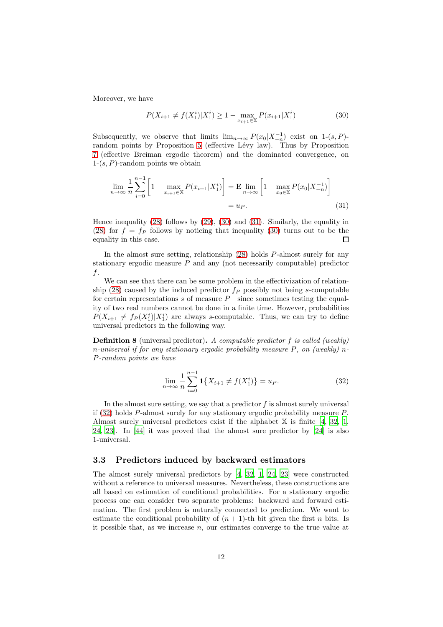Moreover, we have

<span id="page-11-2"></span><span id="page-11-1"></span>
$$
P(X_{i+1} \neq f(X_1^i) | X_1^i) \ge 1 - \max_{x_{i+1} \in \mathbb{X}} P(x_{i+1} | X_1^i)
$$
\n(30)

Subsequently, we observe that limits  $\lim_{n\to\infty} P(x_0|X_{-n}^{-1})$  exist on 1-(s, P)-random points by Proposition [5](#page-5-4) (effective Lévy law). Thus by Proposition [7](#page-5-3) (effective Breiman ergodic theorem) and the dominated convergence, on  $1-(s, P)$ -random points we obtain

$$
\lim_{n \to \infty} \frac{1}{n} \sum_{i=0}^{n-1} \left[ 1 - \max_{x_{i+1} \in \mathbb{X}} P(x_{i+1} | X_1^i) \right] = \mathbf{E} \lim_{n \to \infty} \left[ 1 - \max_{x_0 \in \mathbb{X}} P(x_0 | X_{-n}^{-1}) \right]
$$
\n
$$
= u_P. \tag{31}
$$

Hence inequality [\(28\)](#page-10-0) follows by [\(29\)](#page-10-1), [\(30\)](#page-11-1) and [\(31\)](#page-11-2). Similarly, the equality in [\(28\)](#page-10-0) for  $f = f_P$  follows by noticing that inequality [\(30\)](#page-11-1) turns out to be the equality in this case.  $\Box$ 

In the almost sure setting, relationship [\(28\)](#page-10-0) holds P-almost surely for any stationary ergodic measure  $P$  and any (not necessarily computable) predictor  $f$ .

We can see that there can be some problem in the effectivization of relation-ship [\(28\)](#page-10-0) caused by the induced predictor  $f_P$  possibly not being s-computable for certain representations s of measure  $P$ —since sometimes testing the equality of two real numbers cannot be done in a finite time. However, probabilities  $P(X_{i+1} \neq f_P(X_1^i)|X_1^i)$  are always s-computable. Thus, we can try to define universal predictors in the following way.

<span id="page-11-4"></span>**Definition 8** (universal predictor)**.** *A computable predictor* f *is called (weakly)* n*-universal if for any stationary ergodic probability measure* P*, on (weakly)* n*-*P*-random points we have*

<span id="page-11-3"></span>
$$
\lim_{n \to \infty} \frac{1}{n} \sum_{i=0}^{n-1} \mathbf{1} \{ X_{i+1} \neq f(X_1^i) \} = u_P.
$$
 (32)

In the almost sure setting, we say that a predictor  $f$  is almost surely universal if [\(32\)](#page-11-3) holds P-almost surely for any stationary ergodic probability measure P. Almost surely universal predictors exist if the alphabet  $X$  is finite [\[4](#page-20-5), [32](#page-22-14), [1,](#page-20-0) [24,](#page-22-15) [23](#page-21-13)]. In [\[44](#page-23-6)] it was proved that the almost sure predictor by [\[24](#page-22-15)] is also 1-universal.

#### <span id="page-11-0"></span>**3.3 Predictors induced by backward estimators**

The almost surely universal predictors by [\[4](#page-20-5), [32,](#page-22-14) [1,](#page-20-0) [24,](#page-22-15) [23\]](#page-21-13) were constructed without a reference to universal measures. Nevertheless, these constructions are all based on estimation of conditional probabilities. For a stationary ergodic process one can consider two separate problems: backward and forward estimation. The first problem is naturally connected to prediction. We want to estimate the conditional probability of  $(n + 1)$ -th bit given the first n bits. Is it possible that, as we increase  $n$ , our estimates converge to the true value at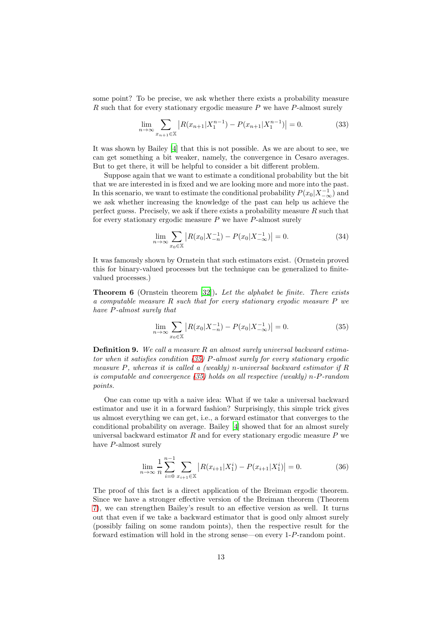some point? To be precise, we ask whether there exists a probability measure R such that for every stationary ergodic measure  $P$  we have  $P$ -almost surely

$$
\lim_{n \to \infty} \sum_{x_{n+1} \in \mathbb{X}} \left| R(x_{n+1} | X_1^{n-1}) - P(x_{n+1} | X_1^{n-1}) \right| = 0. \tag{33}
$$

It was shown by Bailey [\[4\]](#page-20-5) that this is not possible. As we are about to see, we can get something a bit weaker, namely, the convergence in Cesaro averages. But to get there, it will be helpful to consider a bit different problem.

Suppose again that we want to estimate a conditional probability but the bit that we are interested in is fixed and we are looking more and more into the past. In this scenario, we want to estimate the conditional probability  $P(x_0|X^{-1}_{-\infty})$  and we ask whether increasing the knowledge of the past can help us achieve the perfect guess. Precisely, we ask if there exists a probability measure  $R$  such that for every stationary ergodic measure  $P$  we have  $P$ -almost surely

$$
\lim_{n \to \infty} \sum_{x_0 \in \mathbb{X}} \left| R(x_0 | X_{-n}^{-1}) - P(x_0 | X_{-\infty}^{-1}) \right| = 0. \tag{34}
$$

It was famously shown by Ornstein that such estimators exist. (Ornstein proved this for binary-valued processes but the technique can be generalized to finitevalued processes.)

**Theorem 6** (Ornstein theorem [\[32](#page-22-14)])**.** *Let the alphabet be finite. There exists a computable measure* R *such that for every stationary ergodic measure* P *we have* P*-almost surely that*

<span id="page-12-0"></span>
$$
\lim_{n \to \infty} \sum_{x_0 \in \mathbb{X}} \left| R(x_0 | X_{-n}^{-1}) - P(x_0 | X_{-\infty}^{-1}) \right| = 0. \tag{35}
$$

**Definition 9.** *We call a measure* R *an almost surely universal backward estimator when it satisfies condition [\(35\)](#page-12-0)* P*-almost surely for every stationary ergodic measure* P*, whereas it is called a (weakly)* n*-universal backward estimator if* R *is computable and convergence [\(35\)](#page-12-0) holds on all respective (weakly)* n*-*P*-random points.*

One can come up with a naive idea: What if we take a universal backward estimator and use it in a forward fashion? Surprisingly, this simple trick gives us almost everything we can get, i.e., a forward estimator that converges to the conditional probability on average. Bailey [\[4](#page-20-5)] showed that for an almost surely universal backward estimator  $R$  and for every stationary ergodic measure  $P$  we have P-almost surely

<span id="page-12-1"></span>
$$
\lim_{n \to \infty} \frac{1}{n} \sum_{i=0}^{n-1} \sum_{x_{i+1} \in \mathbb{X}} \left| R(x_{i+1} | X_1^i) - P(x_{i+1} | X_1^i) \right| = 0. \tag{36}
$$

The proof of this fact is a direct application of the Breiman ergodic theorem. Since we have a stronger effective version of the Breiman theorem (Theorem [7\)](#page-5-3), we can strengthen Bailey's result to an effective version as well. It turns out that even if we take a backward estimator that is good only almost surely (possibly failing on some random points), then the respective result for the forward estimation will hold in the strong sense—on every 1-P-random point.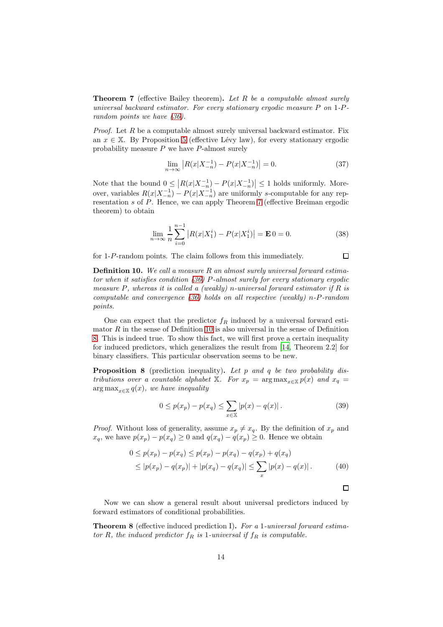**Theorem 7** (effective Bailey theorem)**.** *Let* R *be a computable almost surely universal backward estimator. For every stationary ergodic measure* P *on* 1*-*P*random points we have [\(36\)](#page-12-1).*

*Proof.* Let R be a computable almost surely universal backward estimator. Fix an  $x \in X$ . By Proposition [5](#page-5-4) (effective Lévy law), for every stationary ergodic probability measure  $P$  we have  $P$ -almost surely

$$
\lim_{n \to \infty} \left| R(x|X_{-n}^{-1}) - P(x|X_{-n}^{-1}) \right| = 0. \tag{37}
$$

Note that the bound  $0 \leq |R(x|X_{-n}^{-1}) - P(x|X_{-n}^{-1})| \leq 1$  holds uniformly. Moreover, variables  $R(x|X_{-n}^{-1}) - P(x|X_{-n}^{-1})$  are uniformly s-computable for any representation s of P. Hence, we can apply Theorem [7](#page-5-3) (effective Breiman ergodic theorem) to obtain

$$
\lim_{n \to \infty} \frac{1}{n} \sum_{i=0}^{n-1} |R(x|X_1^i) - P(x|X_1^i)| = \mathbf{E} \cdot 0 = 0. \tag{38}
$$

for 1-P-random points. The claim follows from this immediately.

<span id="page-13-0"></span>**Definition 10.** *We call a measure* R *an almost surely universal forward estimator when it satisfies condition [\(36\)](#page-12-1)* P*-almost surely for every stationary ergodic measure* P*, whereas it is called a (weakly)* n*-universal forward estimator if* R *is computable and convergence [\(36\)](#page-12-1) holds on all respective (weakly)* n*-*P*-random points.*

One can expect that the predictor  $f_R$  induced by a universal forward estimator  $R$  in the sense of Definition [10](#page-13-0) is also universal in the sense of Definition [8.](#page-11-4) This is indeed true. To show this fact, we will first prove a certain inequality for induced predictors, which generalizes the result from [\[14,](#page-21-14) Theorem 2.2] for binary classifiers. This particular observation seems to be new.

<span id="page-13-1"></span>**Proposition 8** (prediction inequality)**.** *Let* p *and* q *be two probability distributions over a countable alphabet* X*. For*  $x_p = \arg \max_{x \in X} p(x)$  *and*  $x_q =$  $\argmax_{x \in \mathbb{X}} q(x)$ *, we have inequality* 

$$
0 \le p(x_p) - p(x_q) \le \sum_{x \in \mathbb{X}} |p(x) - q(x)|. \tag{39}
$$

*Proof.* Without loss of generality, assume  $x_p \neq x_q$ . By the definition of  $x_p$  and  $x_q$ , we have  $p(x_p) - p(x_q) \geq 0$  and  $q(x_q) - q(x_p) \geq 0$ . Hence we obtain

$$
0 \le p(x_p) - p(x_q) \le p(x_p) - p(x_q) - q(x_p) + q(x_q)
$$
  
\n
$$
\le |p(x_p) - q(x_p)| + |p(x_q) - q(x_q)| \le \sum_x |p(x) - q(x)|.
$$
 (40)

 $\Box$ 

 $\Box$ 

Now we can show a general result about universal predictors induced by forward estimators of conditional probabilities.

<span id="page-13-2"></span>**Theorem 8** (effective induced prediction I)**.** *For a* 1*-universal forward estimator* R, the induced predictor  $f_R$  is 1-universal if  $f_R$  is computable.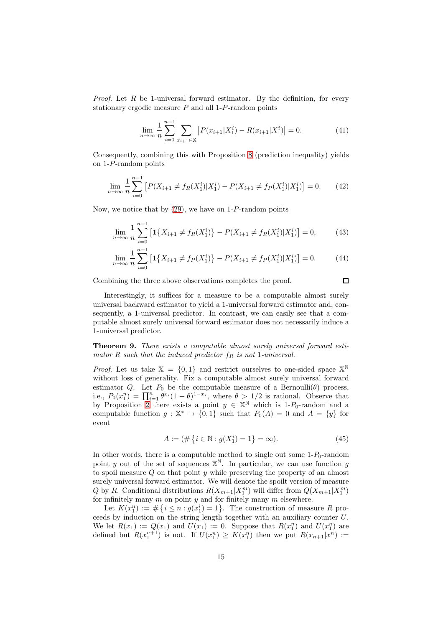*Proof.* Let R be 1-universal forward estimator. By the definition, for every stationary ergodic measure  $P$  and all 1- $P$ -random points

$$
\lim_{n \to \infty} \frac{1}{n} \sum_{i=0}^{n-1} \sum_{x_{i+1} \in \mathbb{X}} \left| P(x_{i+1} | X_1^i) - R(x_{i+1} | X_1^i) \right| = 0. \tag{41}
$$

Consequently, combining this with Proposition [8](#page-13-1) (prediction inequality) yields on 1-P-random points

$$
\lim_{n \to \infty} \frac{1}{n} \sum_{i=0}^{n-1} \left[ P(X_{i+1} \neq f_R(X_1^i) | X_1^i) - P(X_{i+1} \neq f_P(X_1^i) | X_1^i) \right] = 0. \tag{42}
$$

Now, we notice that by  $(29)$ , we have on 1-P-random points

$$
\lim_{n \to \infty} \frac{1}{n} \sum_{i=0}^{n-1} \left[ \mathbf{1} \{ X_{i+1} \neq f_R(X_1^i) \} - P(X_{i+1} \neq f_R(X_1^i) | X_1^i) \right] = 0,\tag{43}
$$

$$
\lim_{n \to \infty} \frac{1}{n} \sum_{i=0}^{n-1} \left[ \mathbf{1} \{ X_{i+1} \neq f_P(X_1^i) \} - P(X_{i+1} \neq f_P(X_1^i) | X_1^i) \right] = 0. \tag{44}
$$

Combining the three above observations completes the proof.

$$
\overline{\Box}
$$

Interestingly, it suffices for a measure to be a computable almost surely universal backward estimator to yield a 1-universal forward estimator and, consequently, a 1-universal predictor. In contrast, we can easily see that a computable almost surely universal forward estimator does not necessarily induce a 1-universal predictor.

<span id="page-14-0"></span>**Theorem 9.** *There exists a computable almost surely universal forward estimator* R *such that the induced predictor*  $f_R$  *is not* 1*-universal.* 

*Proof.* Let us take  $X = \{0, 1\}$  and restrict ourselves to one-sided space  $X^{\mathbb{N}}$ without loss of generality. Fix a computable almost surely universal forward estimator Q. Let  $P_0$  be the computable measure of a Bernoulli( $\theta$ ) process, i.e.,  $P_0(x_1^n) = \prod_{i=1}^n \theta^{x_i} (1-\theta)^{1-x_i}$ , where  $\theta > 1/2$  is rational. Observe that by Proposition [2](#page-4-1) there exists a point  $y \in \mathbb{X}^{\mathbb{N}}$  which is 1-P<sub>0</sub>-random and a computable function  $g: \mathbb{X}^* \to \{0,1\}$  such that  $P_0(A) = 0$  and  $A = \{y\}$  for event

$$
A := (\# \{ i \in \mathbb{N} : g(X_1^i) = 1 \} = \infty). \tag{45}
$$

In other words, there is a computable method to single out some  $1-P_0$ -random point y out of the set of sequences  $X^{\mathbb{N}}$ . In particular, we can use function g to spoil measure  $Q$  on that point  $y$  while preserving the property of an almost surely universal forward estimator. We will denote the spoilt version of measure Q by R. Conditional distributions  $R(X_{m+1}|X_1^m)$  will differ from  $Q(X_{m+1}|X_1^m)$ for infinitely many  $m$  on point  $y$  and for finitely many  $m$  elsewhere.

Let  $K(x_1^n) := \#\{i \leq n : g(x_1^i) = 1\}$ . The construction of measure R proceeds by induction on the string length together with an auxiliary counter  $U$ . We let  $R(x_1) := Q(x_1)$  and  $U(x_1) := 0$ . Suppose that  $R(x_1^n)$  and  $U(x_1^n)$  are defined but  $R(x_1^{n+1})$  is not. If  $U(x_1^n) \geq K(x_1^n)$  then we put  $R(x_{n+1}|x_1^n) :=$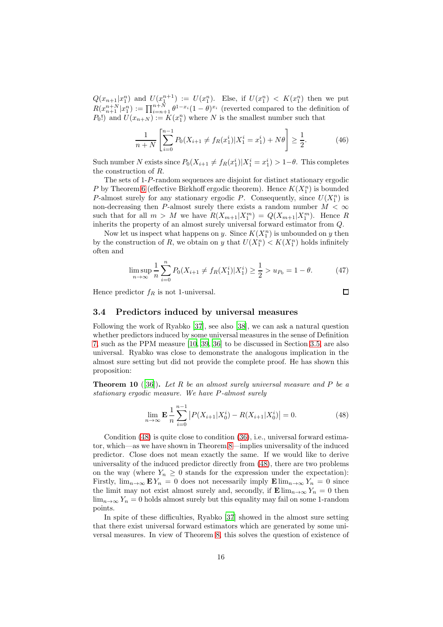$Q(x_{n+1}|x_1^n)$  and  $U(x_1^{n+1}) := U(x_1^n)$ . Else, if  $U(x_1^n) < K(x_1^n)$  then we put  $R(x_{n+1}^{n+N}|x_1^n) := \prod_{i=n+1}^{n+N} \theta^{1-x_i} (1-\theta)^{x_i}$  (reverted compared to the definition of  $P_0$ !) and  $U(x_{n+N}) := K(x_1^n)$  where N is the smallest number such that

$$
\frac{1}{n+N} \left[ \sum_{i=0}^{n-1} P_0(X_{i+1} \neq f_R(x_1^i) | X_1^i = x_1^i) + N\theta \right] \ge \frac{1}{2}.
$$
 (46)

Such number N exists since  $P_0(X_{i+1} \neq f_R(x_1^i) | X_1^i = x_1^i) > 1-\theta$ . This completes the construction of R.

The sets of 1-P-random sequences are disjoint for distinct stationary ergodic P by Theorem [6](#page-5-2) (effective Birkhoff ergodic theorem). Hence  $K(X_1^n)$  is bounded P-almost surely for any stationary ergodic P. Consequently, since  $U(X_1^n)$  is non-decreasing then P-almost surely there exists a random number  $M < \infty$ such that for all  $m > M$  we have  $R(X_{m+1}|X_1^m) = Q(X_{m+1}|X_1^m)$ . Hence R inherits the property of an almost surely universal forward estimator from Q.

Now let us inspect what happens on y. Since  $K(X_1^n)$  is unbounded on y then by the construction of R, we obtain on y that  $U(X_1^n) < K(X_1^n)$  holds infinitely often and

$$
\limsup_{n \to \infty} \frac{1}{n} \sum_{i=0}^{n} P_0(X_{i+1} \neq f_R(X_1^i) | X_1^i) \ge \frac{1}{2} > u_{P_0} = 1 - \theta.
$$
 (47)

Hence predictor  $f_R$  is not 1-universal.

<span id="page-15-1"></span>
$$
\Box
$$

#### <span id="page-15-0"></span>**3.4 Predictors induced by universal measures**

Following the work of Ryabko [\[37\]](#page-22-1), see also [\[38\]](#page-22-2), we can ask a natural question whether predictors induced by some universal measures in the sense of Definition [7,](#page-9-3) such as the PPM measure [\[10](#page-21-2), [39](#page-22-3), [36](#page-22-0)] to be discussed in Section [3.5,](#page-18-0) are also universal. Ryabko was close to demonstrate the analogous implication in the almost sure setting but did not provide the complete proof. He has shown this proposition:

<span id="page-15-2"></span>**Theorem 10** ([\[36](#page-22-0)])**.** *Let* R *be an almost surely universal measure and* P *be a stationary ergodic measure. We have* P*-almost surely*

$$
\lim_{n \to \infty} \mathbf{E} \frac{1}{n} \sum_{i=0}^{n-1} \left| P(X_{i+1} | X_0^i) - R(X_{i+1} | X_0^i) \right| = 0. \tag{48}
$$

Condition [\(48\)](#page-15-1) is quite close to condition [\(36\)](#page-12-1), i.e., universal forward estimator, which—as we have shown in Theorem [8—](#page-13-2)implies universality of the induced predictor. Close does not mean exactly the same. If we would like to derive universality of the induced predictor directly from [\(48\)](#page-15-1), there are two problems on the way (where  $Y_n \geq 0$  stands for the expression under the expectation): Firstly,  $\lim_{n\to\infty}$   $E Y_n = 0$  does not necessarily imply  $E \lim_{n\to\infty} Y_n = 0$  since the limit may not exist almost surely and, secondly, if  $\mathbf{E}$  lim<sub>n→∞</sub>  $Y_n = 0$  then  $\lim_{n\to\infty} Y_n = 0$  holds almost surely but this equality may fail on some 1-random points.

In spite of these difficulties, Ryabko [\[37\]](#page-22-1) showed in the almost sure setting that there exist universal forward estimators which are generated by some universal measures. In view of Theorem [8,](#page-13-2) this solves the question of existence of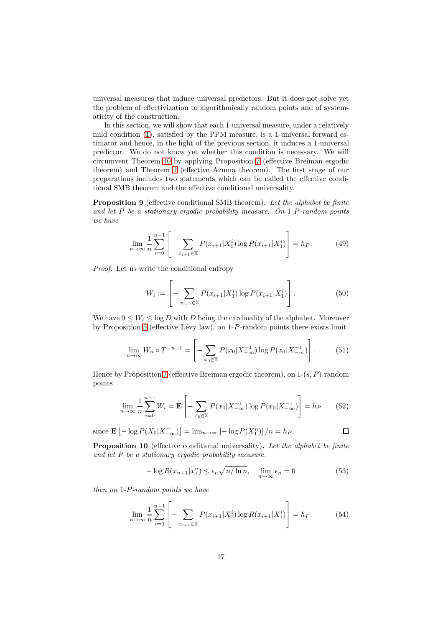universal measures that induce universal predictors. But it does not solve yet the problem of effectivization to algorithmically random points and of systematicity of the construction.

In this section, we will show that each 1-universal measure, under a relatively mild condition [\(1\)](#page-1-0), satisfied by the PPM measure, is a 1-universal forward estimator and hence, in the light of the previous section, it induces a 1-universal predictor. We do not know yet whether this condition is necessary. We will circumvent Theorem [10](#page-15-2) by applying Proposition [7](#page-5-3) (effective Breiman ergodic theorem) and Theorem [1](#page-7-3) (effective Azuma theorem). The first stage of our preparations includes two statements which can be called the effective conditional SMB theorem and the effective conditional universality.

<span id="page-16-2"></span>**Proposition 9** (effective conditional SMB theorem)**.** *Let the alphabet be finite and let* P *be a stationary ergodic probability measure. On* 1*-*P*-random points we have*

$$
\lim_{n \to \infty} \frac{1}{n} \sum_{i=0}^{n-1} \left[ - \sum_{x_{i+1} \in \mathbb{X}} P(x_{i+1} | X_1^i) \log P(x_{i+1} | X_1^i) \right] = h_P. \tag{49}
$$

*Proof.* Let us write the conditional entropy

$$
W_i := \left[ -\sum_{x_{i+1} \in \mathbb{X}} P(x_{i+1} | X_1^i) \log P(x_{i+1} | X_1^i) \right]. \tag{50}
$$

We have  $0 \leq W_i \leq \log D$  with D being the cardinality of the alphabet. Moreover by Proposition [5](#page-5-4) (effective Lévy law), on  $1-P$ -random points there exists limit

$$
\lim_{n \to \infty} W_n \circ T^{-n-1} = \left[ - \sum_{x_0 \in \mathbb{X}} P(x_0 | X_{-\infty}^{-1}) \log P(x_0 | X_{-\infty}^{-1}) \right]. \tag{51}
$$

Hence by Proposition [7](#page-5-3) (effective Breiman ergodic theorem), on  $1-(s, P)$ -random points

$$
\lim_{n \to \infty} \frac{1}{n} \sum_{i=0}^{n-1} W_i = \mathbf{E} \left[ - \sum_{x_0 \in \mathbb{X}} P(x_0 | X_{-\infty}^{-1}) \log P(x_0 | X_{-\infty}^{-1}) \right] = h_P \tag{52}
$$

since  $\mathbf{E} \left[ -\log P(X_0 | X_{-\infty}^{-1}) \right] = \lim_{n \to \infty} \left[ -\log P(X_1^n) \right] / n = h_P.$ 

<span id="page-16-1"></span>**Proposition 10** (effective conditional universality)**.** *Let the alphabet be finite and let* P *be a stationary ergodic probability measure.*

$$
-\log R(x_{n+1}|x_1^n) \le \epsilon_n \sqrt{n/\ln n}, \quad \lim_{n \to \infty} \epsilon_n = 0 \tag{53}
$$

<span id="page-16-0"></span> $\Box$ 

*then on* 1*-*P*-random points we have*

$$
\lim_{n \to \infty} \frac{1}{n} \sum_{i=0}^{n-1} \left[ - \sum_{x_{i+1} \in \mathbb{X}} P(x_{i+1} | X_1^i) \log R(x_{i+1} | X_1^i) \right] = h_P. \tag{54}
$$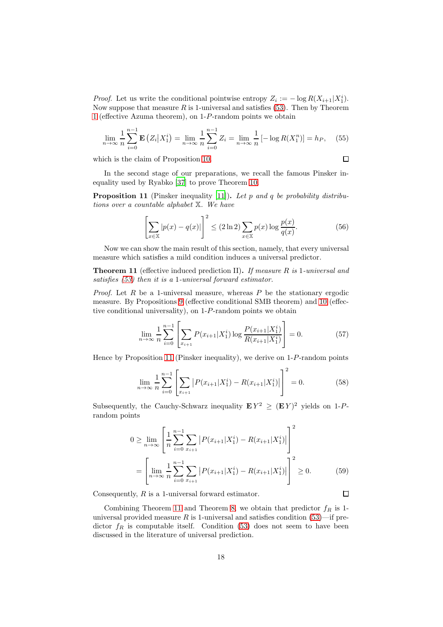*Proof.* Let us write the conditional pointwise entropy  $Z_i := -\log R(X_{i+1}|X_1^i)$ . Now suppose that measure  $R$  is 1-universal and satisfies [\(53\)](#page-16-0). Then by Theorem [1](#page-7-3) (effective Azuma theorem), on 1-P-random points we obtain

$$
\lim_{n \to \infty} \frac{1}{n} \sum_{i=0}^{n-1} \mathbf{E} \left( Z_i | X_1^i \right) = \lim_{n \to \infty} \frac{1}{n} \sum_{i=0}^{n-1} Z_i = \lim_{n \to \infty} \frac{1}{n} \left[ -\log R(X_1^n) \right] = h_P, \quad (55)
$$

which is the claim of Proposition [10.](#page-16-1)

$$
\Box
$$

 $\Box$ 

In the second stage of our preparations, we recall the famous Pinsker inequality used by Ryabko [\[37](#page-22-1)] to prove Theorem [10.](#page-15-2)

<span id="page-17-0"></span>**Proposition 11** (Pinsker inequality [\[11\]](#page-21-15))**.** *Let* p *and* q *be probability distributions over a countable alphabet* X*. We have*

$$
\left[\sum_{x \in \mathbb{X}} |p(x) - q(x)|\right]^2 \le (2\ln 2) \sum_{x \in \mathbb{X}} p(x) \log \frac{p(x)}{q(x)}.\tag{56}
$$

Now we can show the main result of this section, namely, that every universal measure which satisfies a mild condition induces a universal predictor.

<span id="page-17-1"></span>**Theorem 11** (effective induced prediction II)**.** *If measure* R *is* 1*-universal and satisfies [\(53\)](#page-16-0) then it is a* 1*-universal forward estimator.*

*Proof.* Let  $R$  be a 1-universal measure, whereas  $P$  be the stationary ergodic measure. By Propositions [9](#page-16-2) (effective conditional SMB theorem) and [10](#page-16-1) (effective conditional universality), on 1-P-random points we obtain

$$
\lim_{n \to \infty} \frac{1}{n} \sum_{i=0}^{n-1} \left[ \sum_{x_{i+1}} P(x_{i+1} | X_1^i) \log \frac{P(x_{i+1} | X_1^i)}{R(x_{i+1} | X_1^i)} \right] = 0. \tag{57}
$$

Hence by Proposition [11](#page-17-0) (Pinsker inequality), we derive on 1-P-random points

$$
\lim_{n \to \infty} \frac{1}{n} \sum_{i=0}^{n-1} \left[ \sum_{x_{i+1}} \left| P(x_{i+1} | X_1^i) - R(x_{i+1} | X_1^i) \right| \right]^2 = 0. \tag{58}
$$

Subsequently, the Cauchy-Schwarz inequality  $E Y^2 \geq (E Y)^2$  yields on 1-Prandom points

$$
0 \ge \lim_{n \to \infty} \left[ \frac{1}{n} \sum_{i=0}^{n-1} \sum_{x_{i+1}} \left| P(x_{i+1} | X_1^i) - R(x_{i+1} | X_1^i) \right| \right]^2
$$
  
= 
$$
\left[ \lim_{n \to \infty} \frac{1}{n} \sum_{i=0}^{n-1} \sum_{x_{i+1}} \left| P(x_{i+1} | X_1^i) - R(x_{i+1} | X_1^i) \right| \right]^2 \ge 0.
$$
 (59)

Consequently, R is a 1-universal forward estimator.

Combining Theorem [11](#page-17-1) and Theorem [8,](#page-13-2) we obtain that predictor  $f_R$  is 1universal provided measure R is 1-universal and satisfies condition  $(53)$ —if predictor  $f_R$  is computable itself. Condition [\(53\)](#page-16-0) does not seem to have been discussed in the literature of universal prediction.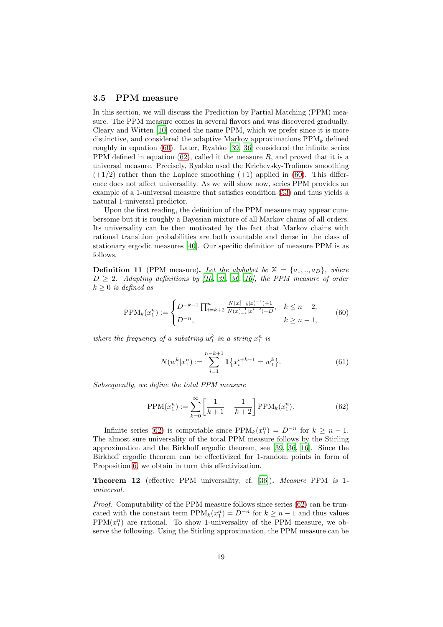#### <span id="page-18-0"></span>**3.5 PPM measure**

In this section, we will discuss the Prediction by Partial Matching (PPM) measure. The PPM measure comes in several flavors and was discovered gradually. Cleary and Witten [\[10\]](#page-21-2) coined the name PPM, which we prefer since it is more distinctive, and considered the adaptive Markov approximations  $PPM_k$  defined roughly in equation [\(60\)](#page-18-1). Later, Ryabko [\[39,](#page-22-3) [36](#page-22-0)] considered the infinite series PPM defined in equation [\(62\)](#page-18-2), called it the measure  $R$ , and proved that it is a universal measure. Precisely, Ryabko used the Krichevsky-Trofimov smoothing  $(+1/2)$  rather than the Laplace smoothing  $(+1)$  applied in [\(60\)](#page-18-1). This difference does not affect universality. As we will show now, series PPM provides an example of a 1-universal measure that satisfies condition [\(53\)](#page-16-0) and thus yields a natural 1-universal predictor.

Upon the first reading, the definition of the PPM measure may appear cumbersome but it is roughly a Bayesian mixture of all Markov chains of all orders. Its universality can be then motivated by the fact that Markov chains with rational transition probabilities are both countable and dense in the class of stationary ergodic measures [\[40\]](#page-23-1). Our specific definition of measure PPM is as follows.

**Definition 11** (PPM measure). Let the alphabet be  $X = \{a_1, \ldots, a_D\}$ , where  $D \geq 2$ *. Adapting definitions by* [\[10](#page-21-2), [39,](#page-22-3) [36,](#page-22-0) [16](#page-21-16)], the PPM measure of order  $k \geq 0$  *is defined as* 

$$
\text{PPM}_k(x_1^n) := \begin{cases} D^{-k-1} \prod_{i=k+2}^n \frac{N(x_{i-k}^i | x_1^{i-1}) + 1}{N(x_{i-k}^{i-1} | x_1^{i-2}) + D}, & k \le n-2, \\ D^{-n}, & k \ge n-1, \end{cases} \tag{60}
$$

where the frequency of a substring  $w_1^k$  in a string  $x_1^n$  is

<span id="page-18-2"></span><span id="page-18-1"></span>
$$
N(w_1^k | x_1^n) := \sum_{i=1}^{n-k+1} \mathbf{1} \{ x_i^{i+k-1} = w_1^k \}.
$$
 (61)

*Subsequently, we define the total PPM measure*

$$
PPM(x_1^n) := \sum_{k=0}^{\infty} \left[ \frac{1}{k+1} - \frac{1}{k+2} \right] PPM_k(x_1^n). \tag{62}
$$

Infinite series [\(62\)](#page-18-2) is computable since  $PPM_k(x_1^n) = D^{-n}$  for  $k \geq n-1$ . The almost sure universality of the total PPM measure follows by the Stirling approximation and the Birkhoff ergodic theorem, see [\[39,](#page-22-3) [36,](#page-22-0) [16](#page-21-16)]. Since the Birkhoff ergodic theorem can be effectivized for 1-random points in form of Proposition [6,](#page-5-2) we obtain in turn this effectivization.

<span id="page-18-3"></span>**Theorem 12** (effective PPM universality, cf. [\[36\]](#page-22-0))**.** *Measure* PPM *is* 1 *universal.*

*Proof.* Computability of the PPM measure follows since series [\(62\)](#page-18-2) can be truncated with the constant term  $\text{PPM}_k(x_1^n) = D^{-n}$  for  $k \geq n-1$  and thus values  $PPM(x_1^n)$  are rational. To show 1-universality of the PPM measure, we observe the following. Using the Stirling approximation, the PPM measure can be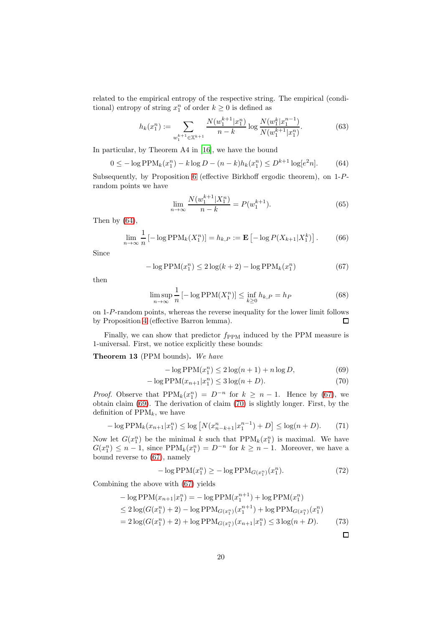related to the empirical entropy of the respective string. The empirical (conditional) entropy of string  $x_1^n$  of order  $k \geq 0$  is defined as

$$
h_k(x_1^n) := \sum_{w_1^{k+1} \in \mathbb{X}^{k+1}} \frac{N(w_1^{k+1} | x_1^n)}{n-k} \log \frac{N(w_1^k | x_1^{n-1})}{N(w_1^{k+1} | x_1^n)}.
$$
(63)

In particular, by Theorem A4 in [\[16](#page-21-16)], we have the bound

$$
0 \le -\log \text{PPM}_k(x_1^n) - k \log D - (n - k)h_k(x_1^n) \le D^{k+1} \log[e^2 n]. \tag{64}
$$

Subsequently, by Proposition [6](#page-5-2) (effective Birkhoff ergodic theorem), on 1-Prandom points we have

<span id="page-19-1"></span><span id="page-19-0"></span>
$$
\lim_{n \to \infty} \frac{N(w_1^{k+1} | X_1^n)}{n - k} = P(w_1^{k+1}).\tag{65}
$$

Then by  $(64)$ ,

$$
\lim_{n \to \infty} \frac{1}{n} \left[ -\log \text{PPM}_k(X_1^n) \right] = h_{k,P} := \mathbf{E} \left[ -\log P(X_{k+1}|X_1^k) \right]. \tag{66}
$$

Since

$$
-\log \text{PPM}(x_1^n) \le 2\log(k+2) - \log \text{PPM}_k(x_1^n) \tag{67}
$$

then

$$
\limsup_{n \to \infty} \frac{1}{n} \left[ -\log \text{PPM}(X_1^n) \right] \le \inf_{k \ge 0} h_{k,P} = h_P \tag{68}
$$

on 1-P-random points, whereas the reverse inequality for the lower limit follows by Proposition [4](#page-5-5) (effective Barron lemma).  $\Box$ 

Finally, we can show that predictor  $f_{PPM}$  induced by the PPM measure is 1-universal. First, we notice explicitly these bounds:

<span id="page-19-4"></span>**Theorem 13** (PPM bounds)**.** *We have*

<span id="page-19-3"></span><span id="page-19-2"></span>
$$
-\log \text{PPM}(x_1^n) \le 2\log(n+1) + n\log D,\tag{69}
$$

$$
-\log \text{PPM}(x_{n+1}|x_1^n) \le 3\log(n+D). \tag{70}
$$

*Proof.* Observe that  $PPM_k(x_1^n) = D^{-n}$  for  $k \geq n-1$ . Hence by [\(67\)](#page-19-1), we obtain claim [\(69\)](#page-19-2). The derivation of claim [\(70\)](#page-19-3) is slightly longer. First, by the definition of  $PPM_k$ , we have

$$
-\log \text{PPM}_k(x_{n+1}|x_1^n) \le \log \left[ N(x_{n-k+1}^n|x_1^{n-1}) + D \right] \le \log(n+D). \tag{71}
$$

Now let  $G(x_1^n)$  be the minimal k such that  $PPM_k(x_1^n)$  is maximal. We have  $G(x_1^n) \leq n-1$ , since PPM<sub>k</sub> $(x_1^n) = D^{-n}$  for  $k \geq n-1$ . Moreover, we have a bound reverse to [\(67\)](#page-19-1), namely

$$
-\log \mathrm{PPM}(x_1^n) \ge -\log \mathrm{PPM}_{G(x_1^n)}(x_1^n). \tag{72}
$$

Combining the above with [\(67\)](#page-19-1) yields

$$
- \log \text{PPM}(x_{n+1}|x_1^n) = -\log \text{PPM}(x_1^{n+1}) + \log \text{PPM}(x_1^n)
$$
  
\n
$$
\leq 2 \log(G(x_1^n) + 2) - \log \text{PPM}_{G(x_1^n)}(x_1^{n+1}) + \log \text{PPM}_{G(x_1^n)}(x_1^n)
$$
  
\n
$$
= 2 \log(G(x_1^n) + 2) + \log \text{PPM}_{G(x_1^n)}(x_{n+1}|x_1^n) \leq 3 \log(n+D). \tag{73}
$$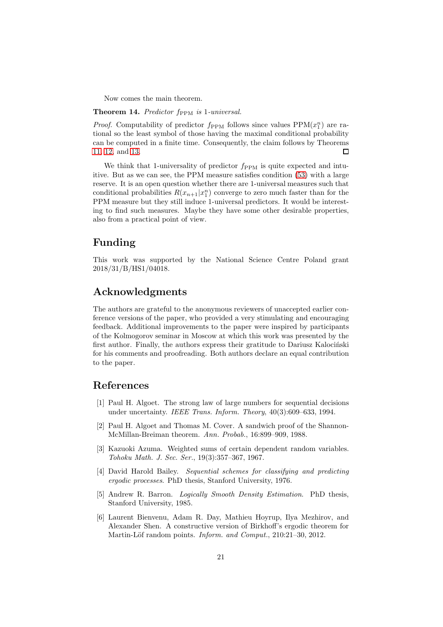Now comes the main theorem.

**Theorem 14.** Predictor f<sub>PPM</sub> is 1-universal.

*Proof.* Computability of predictor  $f_{PPM}$  follows since values  $PPM(x_1^n)$  are rational so the least symbol of those having the maximal conditional probability can be computed in a finite time. Consequently, the claim follows by Theorems [11,](#page-17-1) [12,](#page-18-3) and [13.](#page-19-4) П

We think that 1-universality of predictor  $f_{PPM}$  is quite expected and intuitive. But as we can see, the PPM measure satisfies condition [\(53\)](#page-16-0) with a large reserve. It is an open question whether there are 1-universal measures such that conditional probabilities  $R(x_{n+1}|x_1^n)$  converge to zero much faster than for the PPM measure but they still induce 1-universal predictors. It would be interesting to find such measures. Maybe they have some other desirable properties, also from a practical point of view.

### **Funding**

This work was supported by the National Science Centre Poland grant 2018/31/B/HS1/04018.

## **Acknowledgments**

The authors are grateful to the anonymous reviewers of unaccepted earlier conference versions of the paper, who provided a very stimulating and encouraging feedback. Additional improvements to the paper were inspired by participants of the Kolmogorov seminar in Moscow at which this work was presented by the first author. Finally, the authors express their gratitude to Dariusz Kalociński for his comments and proofreading. Both authors declare an equal contribution to the paper.

### **References**

- <span id="page-20-0"></span>[1] Paul H. Algoet. The strong law of large numbers for sequential decisions under uncertainty. *IEEE Trans. Inform. Theory*, 40(3):609–633, 1994.
- <span id="page-20-4"></span>[2] Paul H. Algoet and Thomas M. Cover. A sandwich proof of the Shannon-McMillan-Breiman theorem. *Ann. Probab.*, 16:899–909, 1988.
- <span id="page-20-1"></span>[3] Kazuoki Azuma. Weighted sums of certain dependent random variables. *Tohoku Math. J. Sec. Ser.*, 19(3):357–367, 1967.
- <span id="page-20-5"></span>[4] David Harold Bailey. *Sequential schemes for classifying and predicting ergodic processes*. PhD thesis, Stanford University, 1976.
- <span id="page-20-3"></span>[5] Andrew R. Barron. *Logically Smooth Density Estimation*. PhD thesis, Stanford University, 1985.
- <span id="page-20-2"></span>[6] Laurent Bienvenu, Adam R. Day, Mathieu Hoyrup, Ilya Mezhirov, and Alexander Shen. A constructive version of Birkhoff's ergodic theorem for Martin-Löf random points. *Inform. and Comput.*, 210:21–30, 2012.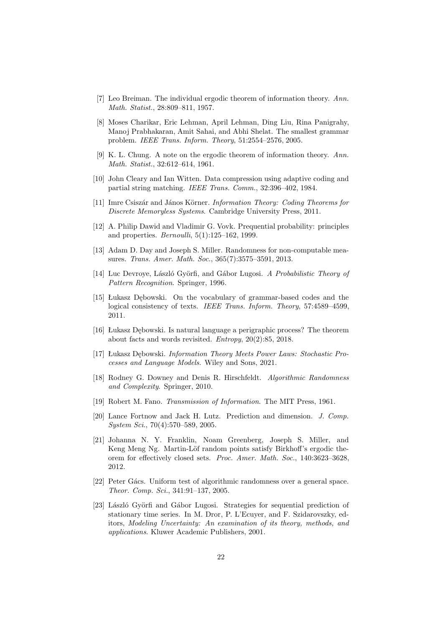- <span id="page-21-1"></span>[7] Leo Breiman. The individual ergodic theorem of information theory. *Ann. Math. Statist.*, 28:809–811, 1957.
- <span id="page-21-8"></span>[8] Moses Charikar, Eric Lehman, April Lehman, Ding Liu, Rina Panigrahy, Manoj Prabhakaran, Amit Sahai, and Abhi Shelat. The smallest grammar problem. *IEEE Trans. Inform. Theory*, 51:2554–2576, 2005.
- <span id="page-21-7"></span>[9] K. L. Chung. A note on the ergodic theorem of information theory. *Ann. Math. Statist.*, 32:612–614, 1961.
- <span id="page-21-2"></span>[10] John Cleary and Ian Witten. Data compression using adaptive coding and partial string matching. *IEEE Trans. Comm.*, 32:396–402, 1984.
- <span id="page-21-15"></span>[11] Imre Csisz´ar and J´anos K¨orner. *Information Theory: Coding Theorems for Discrete Memoryless Systems*. Cambridge University Press, 2011.
- <span id="page-21-0"></span>[12] A. Philip Dawid and Vladimir G. Vovk. Prequential probability: principles and properties. *Bernoulli*, 5(1):125–162, 1999.
- <span id="page-21-6"></span>[13] Adam D. Day and Joseph S. Miller. Randomness for non-computable measures. *Trans. Amer. Math. Soc.*, 365(7):3575–3591, 2013.
- <span id="page-21-14"></span>[14] Luc Devroye, László Györfi, and Gábor Lugosi. *A Probabilistic Theory of Pattern Recognition*. Springer, 1996.
- <span id="page-21-9"></span>[15] Łukasz Dębowski. On the vocabulary of grammar-based codes and the logical consistency of texts. *IEEE Trans. Inform. Theory*, 57:4589–4599, 2011.
- <span id="page-21-16"></span>[16] Łukasz Dębowski. Is natural language a perigraphic process? The theorem about facts and words revisited. *Entropy*, 20(2):85, 2018.
- <span id="page-21-11"></span>[17] Łukasz Dębowski. *Information Theory Meets Power Laws: Stochastic Processes and Language Models*. Wiley and Sons, 2021.
- <span id="page-21-3"></span>[18] Rodney G. Downey and Denis R. Hirschfeldt. *Algorithmic Randomness and Complexity*. Springer, 2010.
- <span id="page-21-10"></span>[19] Robert M. Fano. *Transmission of Information*. The MIT Press, 1961.
- <span id="page-21-12"></span>[20] Lance Fortnow and Jack H. Lutz. Prediction and dimension. *J. Comp. System Sci.*, 70(4):570–589, 2005.
- <span id="page-21-4"></span>[21] Johanna N. Y. Franklin, Noam Greenberg, Joseph S. Miller, and Keng Meng Ng. Martin-Löf random points satisfy Birkhoff's ergodic theorem for effectively closed sets. *Proc. Amer. Math. Soc.*, 140:3623–3628, 2012.
- <span id="page-21-5"></span>[22] Peter Gács. Uniform test of algorithmic randomness over a general space. *Theor. Comp. Sci.*, 341:91–137, 2005.
- <span id="page-21-13"></span>[23] László Györfi and Gábor Lugosi. Strategies for sequential prediction of stationary time series. In M. Dror, P. L'Ecuyer, and F. Szidarovszky, editors, *Modeling Uncertainty: An examination of its theory, methods, and applications*. Kluwer Academic Publishers, 2001.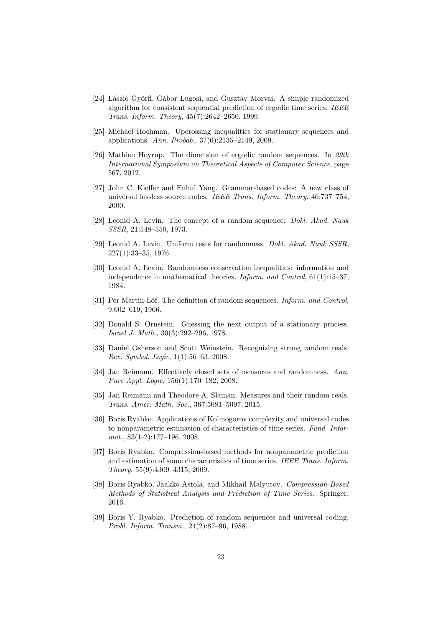- <span id="page-22-15"></span>[24] László Györfi, Gábor Lugosi, and Gusztáv Morvai. A simple randomized algorithm for consistent sequential prediction of ergodic time series. *IEEE Trans. Inform. Theory*, 45(7):2642–2650, 1999.
- <span id="page-22-11"></span>[25] Michael Hochman. Upcrossing inequalities for stationary sequences and applications. *Ann. Probab.*, 37(6):2135–2149, 2009.
- <span id="page-22-12"></span>[26] Mathieu Hoyrup. The dimension of ergodic random sequences. In *29th International Symposium on Theoretical Aspects of Computer Science*, page 567, 2012.
- <span id="page-22-13"></span>[27] John C. Kieffer and Enhui Yang. Grammar-based codes: A new class of universal lossless source codes. *IEEE Trans. Inform. Theory*, 46:737–754, 2000.
- <span id="page-22-7"></span>[28] Leonid A. Levin. The concept of a random sequence. *Dokl. Akad. Nauk SSSR*, 21:548–550, 1973.
- <span id="page-22-8"></span>[29] Leonid A. Levin. Uniform tests for randomness. *Dokl. Akad. Nauk SSSR*, 227(1):33–35, 1976.
- <span id="page-22-9"></span>[30] Leonid A. Levin. Randomness conservation inequalities: information and independence in mathematical theories. *Inform. and Control*, 61(1):15–37, 1984.
- <span id="page-22-4"></span>[31] Per Martin-Löf. The definition of random sequences. *Inform. and Control*, 9:602–619, 1966.
- <span id="page-22-14"></span>[32] Donald S. Ornstein. Guessing the next output of a stationary process. *Israel J. Math.*, 30(3):292–296, 1978.
- <span id="page-22-10"></span>[33] Daniel Osherson and Scott Weinstein. Recognizing strong random reals. *Rev. Symbol. Logic*, 1(1):56–63, 2008.
- <span id="page-22-5"></span>[34] Jan Reimann. Effectively closed sets of measures and randomness. *Ann. Pure Appl. Logic*, 156(1):170–182, 2008.
- <span id="page-22-6"></span>[35] Jan Reimann and Theodore A. Slaman. Measures and their random reals. *Trans. Amer. Math. Soc.*, 367:5081–5097, 2015.
- <span id="page-22-0"></span>[36] Boris Ryabko. Applications of Kolmogorov complexity and universal codes to nonparametric estimation of characteristics of time series. *Fund. Informat.*, 83(1-2):177–196, 2008.
- <span id="page-22-1"></span>[37] Boris Ryabko. Compression-based methods for nonparametric prediction and estimation of some characteristics of time series. *IEEE Trans. Inform. Theory*, 55(9):4309–4315, 2009.
- <span id="page-22-2"></span>[38] Boris Ryabko, Jaakko Astola, and Mikhail Malyutov. *Compression-Based Methods of Statistical Analysis and Prediction of Time Series*. Springer, 2016.
- <span id="page-22-3"></span>[39] Boris Y. Ryabko. Prediction of random sequences and universal coding. *Probl. Inform. Transm.*, 24(2):87–96, 1988.